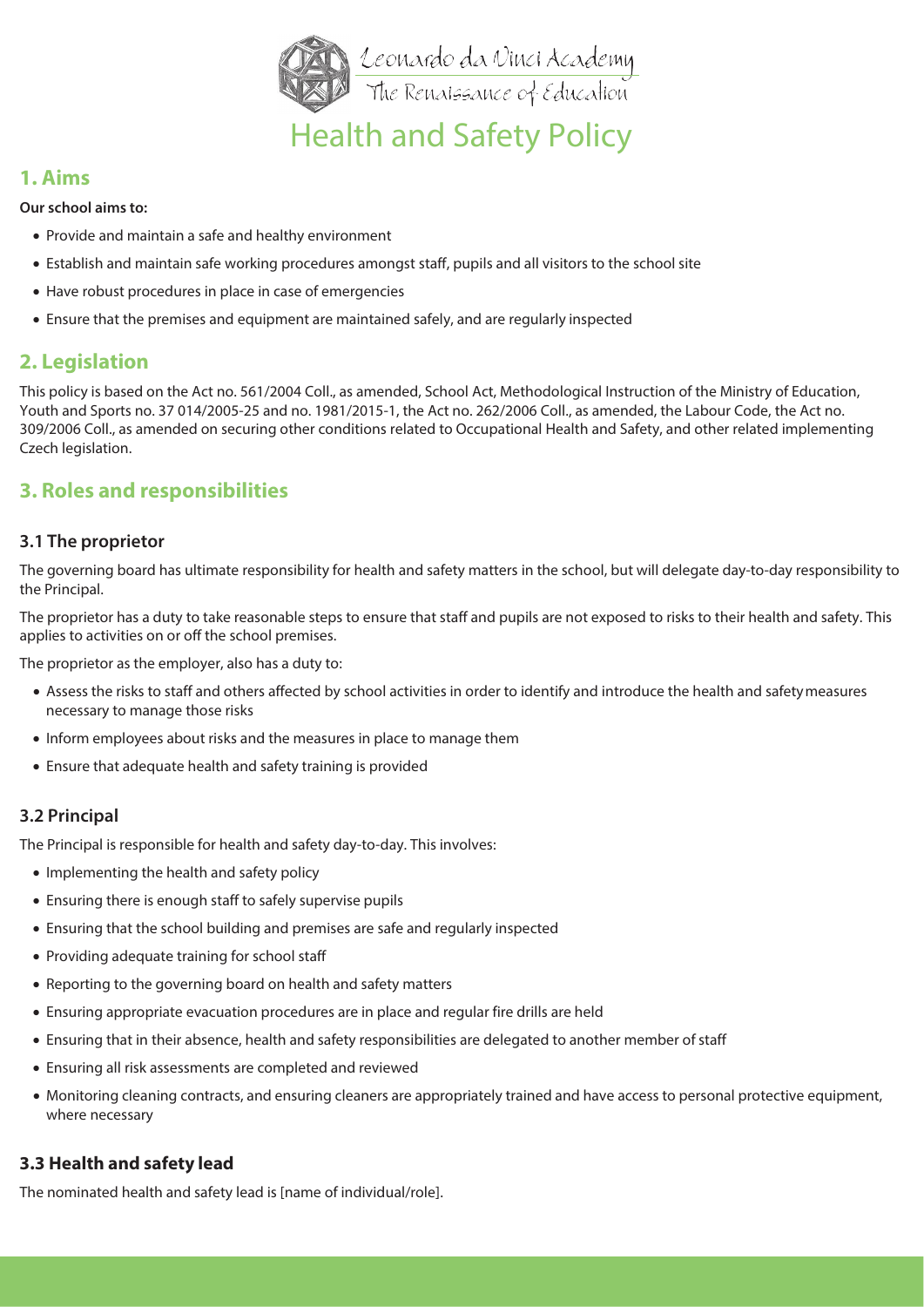

# Health and Safety Policy

### **1. Aims**

**Our school aims to:**

- Provide and maintain a safe and healthy environment
- Establish and maintain safe working procedures amongst staff, pupils and all visitors to the school site
- Have robust procedures in place in case of emergencies
- Ensure that the premises and equipment are maintained safely, and are regularly inspected

# **2. Legislation**

This policy is based on the Act no. 561/2004 Coll., as amended, School Act, Methodological Instruction of the Ministry of Education, Youth and Sports no. 37 014/2005-25 and no. 1981/2015-1, the Act no. 262/2006 Coll., as amended, the Labour Code, the Act no. 309/2006 Coll., as amended on securing other conditions related to Occupational Health and Safety, and other related implementing Czech legislation.

# **3. Roles and responsibilities**

#### **3.1 The proprietor**

The governing board has ultimate responsibility for health and safety matters in the school, but will delegate day-to-day responsibility to the Principal.

The proprietor has a duty to take reasonable steps to ensure that staff and pupils are not exposed to risks to their health and safety. This applies to activities on or off the school premises.

The proprietor as the employer, also has a duty to:

- Assess the risks to staff and others affected by school activities in order to identify and introduce the health and safetymeasures necessary to manage those risks
- Inform employees about risks and the measures in place to manage them
- Ensure that adequate health and safety training is provided

#### **3.2 Principal**

The Principal is responsible for health and safety day-to-day. This involves:

- Implementing the health and safety policy
- Ensuring there is enough staff to safely supervise pupils
- Ensuring that the school building and premises are safe and regularly inspected
- Providing adequate training for school staff
- Reporting to the governing board on health and safety matters
- Ensuring appropriate evacuation procedures are in place and regular fire drills are held
- Ensuring that in their absence, health and safety responsibilities are delegated to another member ofstaff
- Ensuring all risk assessments are completed and reviewed
- Monitoring cleaning contracts, and ensuring cleaners are appropriately trained and have access to personal protective equipment, where necessary

#### **3.3 Health and safety lead**

The nominated health and safety lead is [name of individual/role].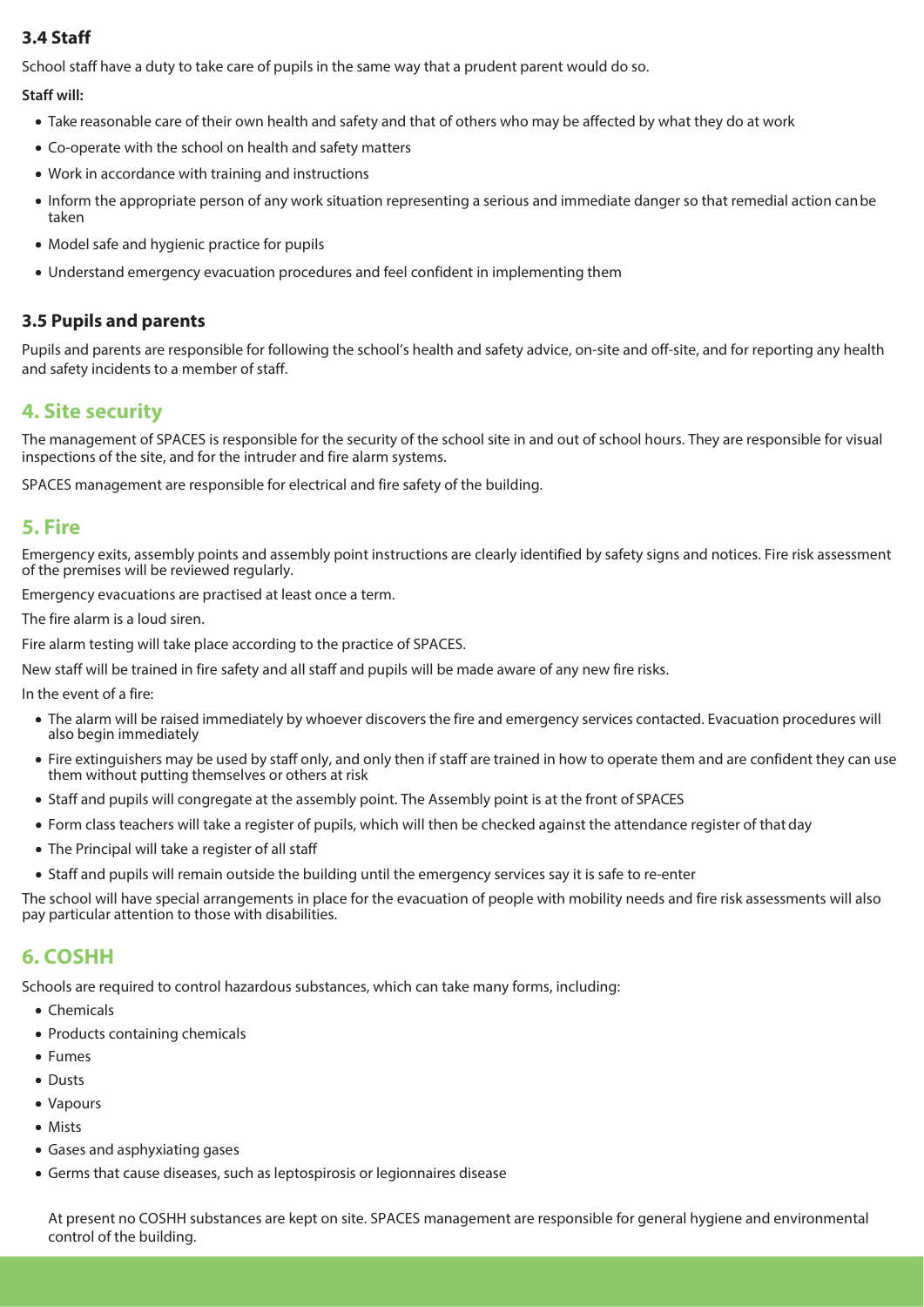### **3.4 Staff**

School staff have a duty to take care of pupils in the same way that a prudent parent would do so.

#### **Staff will:**

- Take reasonable care of their own health and safety and that of others who may be affected by what they do at work
- Co-operate with the school on health and safety matters
- Work in accordance with training and instructions
- Inform the appropriate person of any work situation representing a serious and immediate danger so that remedial action canbe taken
- Model safe and hygienic practice for pupils
- Understand emergency evacuation procedures and feel confident in implementing them

#### **3.5 Pupils and parents**

Pupils and parents are responsible for following the school's health and safety advice, on-site and off-site, and for reporting any health and safety incidents to a member of staff.

# **4. Site security**

The management of SPACES is responsible for the security of the school site in and out of school hours. They are responsible for visual inspections of the site, and for the intruder and fire alarm systems.

SPACES management are responsible for electrical and fire safety of the building.

### **5. Fire**

Emergency exits, assembly points and assembly point instructions are clearly identified by safety signs and notices. Fire risk assessment of the premises will be reviewed regularly.

Emergency evacuations are practised at least once a term.

The fire alarm is a loud siren.

Fire alarm testing will take place according to the practice of SPACES.

New staff will be trained in fire safety and all staff and pupils will be made aware of any new fire risks.

In the event of a fire:

- The alarm will be raised immediately by whoever discovers the fire and emergency services contacted. Evacuation procedures will also begin immediately
- Fire extinguishers may be used by staff only, and only then if staff are trained in how to operate them and are confident they can use them without putting themselves or others at risk
- Staff and pupils will congregate at the assembly point. The Assembly point is at the front of SPACES
- Form class teachers will take a register of pupils, which will then be checked against the attendance register of thatday
- The Principal will take a register of all staff
- Staff and pupils will remain outside the building until the emergency services say it is safe to re-enter

The school will have special arrangements in place for the evacuation of people with mobility needs and fire risk assessments will also pay particular attention to those with disabilities.

# **6. COSHH**

Schools are required to control hazardous substances, which can take many forms, including:

- Chemicals
- Products containing chemicals
- Fumes
- Dusts
- Vapours
- Mists
- Gases and asphyxiating gases
- Germs that cause diseases, such as leptospirosis or legionnaires disease

At present no COSHH substances are kept on site. SPACES management are responsible for general hygiene and environmental control of the building.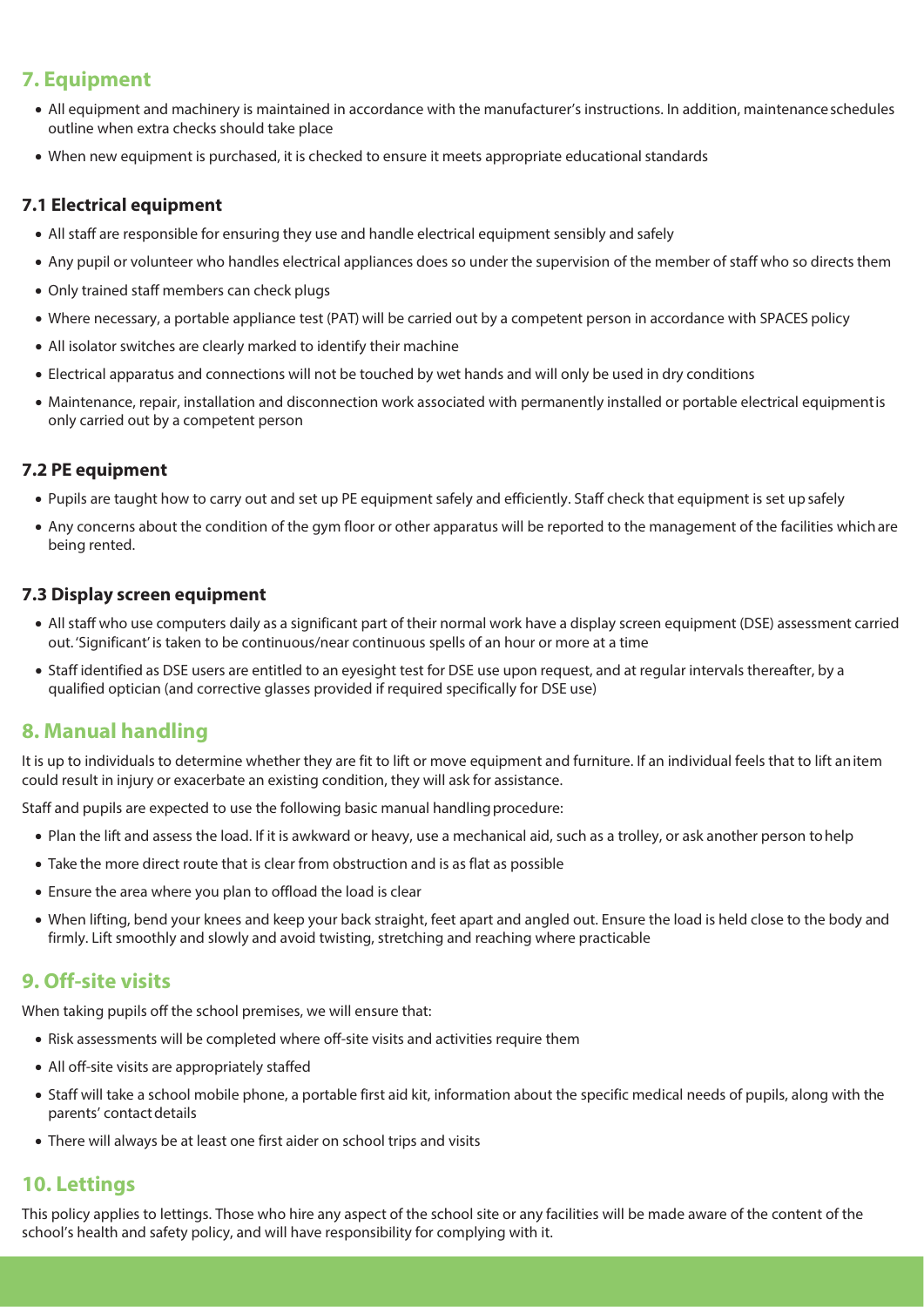# **7. Equipment**

- All equipment and machinery is maintained in accordance with the manufacturer's instructions. In addition, maintenanceschedules outline when extra checks should take place
- When new equipment is purchased, it is checked to ensure it meets appropriate educational standards

### **7.1 Electrical equipment**

- All staff are responsible for ensuring they use and handle electrical equipment sensibly and safely
- Any pupil or volunteer who handles electrical appliances does so under the supervision of the member of staff who so directsthem
- Only trained staff members can check plugs
- Where necessary, a portable appliance test (PAT) will be carried out by a competent person in accordance with SPACES policy
- All isolator switches are clearly marked to identify their machine
- Electrical apparatus and connections will not be touched by wet hands and will only be used in dry conditions
- Maintenance, repair, installation and disconnection work associated with permanently installed or portable electrical equipmentis only carried out by a competent person

### **7.2 PE equipment**

- Pupils are taught how to carry out and set up PE equipment safely and efficiently. Staff check that equipment is set upsafely
- Any concerns about the condition of the gym floor or other apparatus will be reported to the management of the facilities whichare being rented.

#### **7.3 Display screen equipment**

- All staff who use computers daily as a significant part of their normal work have a display screen equipment (DSE) assessment carried out. 'Significant' is taken to be continuous/near continuous spells of an hour or more at a time
- Staff identified as DSE users are entitled to an eyesight test for DSE use upon request, and at regular intervals thereafter, by a qualified optician (and corrective glasses provided if required specifically for DSE use)

# **8. Manual handling**

It is up to individuals to determine whether they are fit to lift or move equipment and furniture. If an individual feels that to lift anitem could result in injury or exacerbate an existing condition, they will ask for assistance.

Staff and pupils are expected to use the following basic manual handling procedure:

- Plan the lift and assess the load. If it is awkward or heavy, use a mechanical aid, such as a trolley, or ask another person tohelp
- Take the more direct route that is clear from obstruction and is as flat as possible
- Ensure the area where you plan to offload the load is clear
- When lifting, bend your knees and keep your back straight, feet apart and angled out. Ensure the load is held close to the body and firmly. Lift smoothly and slowly and avoid twisting, stretching and reaching where practicable

# **9. Off-site visits**

When taking pupils off the school premises, we will ensure that:

- Risk assessments will be completed where off-site visits and activities require them
- All off-site visits are appropriately staffed
- Staff will take a school mobile phone, a portable first aid kit, information about the specific medical needs of pupils, along with the parents' contact details
- There will always be at least one first aider on school trips and visits

# **10. Lettings**

This policy applies to lettings. Those who hire any aspect of the school site or any facilities will be made aware of the content of the school's health and safety policy, and will have responsibility for complying with it.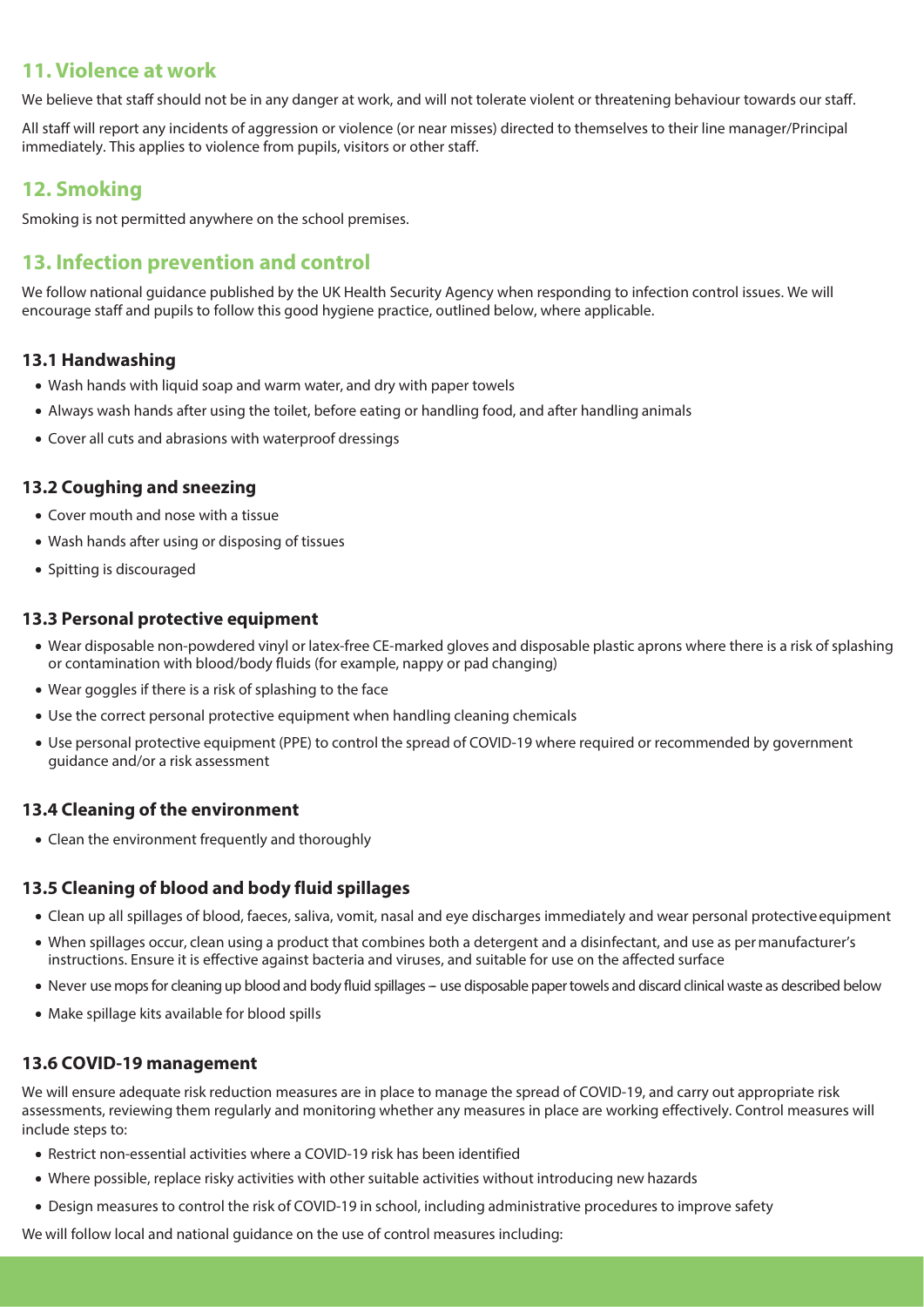### **11. Violence at work**

We believe that staff should not be in any danger at work, and will not tolerate violent or threatening behaviour towards our staff.

All staff will report any incidents of aggression or violence (or near misses) directed to themselves to their line manager/Principal immediately. This applies to violence from pupils, visitors or other staff.

# **12. Smoking**

Smoking is not permitted anywhere on the school premises.

# **13. Infection prevention and control**

We follow national guidance published by the UK Health Security Agency when responding to infection control issues. We will encourage staff and pupils to follow this good hygiene practice, outlined below, where applicable.

#### **13.1 Handwashing**

- Wash hands with liquid soap and warm water, and dry with paper towels
- Always wash hands after using the toilet, before eating or handling food, and after handling animals
- Cover all cuts and abrasions with waterproof dressings

#### **13.2 Coughing and sneezing**

- Cover mouth and nose with a tissue
- Wash hands after using or disposing of tissues
- Spitting is discouraged

#### **13.3 Personal protective equipment**

- Wear disposable non-powdered vinyl or latex-free CE-marked gloves and disposable plastic aprons where there is a risk of splashing or contamination with blood/body fluids (for example, nappy or pad changing)
- Wear goggles if there is a risk of splashing to the face
- Use the correct personal protective equipment when handling cleaning chemicals
- Use personal protective equipment (PPE) to control the spread of COVID-19 where required or recommended by government guidance and/or a risk assessment

#### **13.4 Cleaning of the environment**

• Clean the environment frequently and thoroughly

#### **13.5 Cleaning of blood and body fluid spillages**

- Clean up all spillages of blood, faeces, saliva, vomit, nasal and eye discharges immediately and wear personal protectiveequipment
- When spillages occur, clean using a product that combines both a detergent and a disinfectant, and use as per manufacturer's instructions. Ensure it is effective against bacteria and viruses, and suitable for use on the affected surface
- Never use mops for cleaning up blood and body fluid spillages use disposable paper towels and discard clinical waste as described below
- Make spillage kits available for blood spills

#### **13.6 COVID-19 management**

We will ensure adequate risk reduction measures are in place to manage the spread of COVID-19, and carry out appropriate risk assessments, reviewing them regularly and monitoring whether any measures in place are working effectively. Control measures will include steps to:

- Restrict non-essential activities where a COVID-19 risk has been identified
- Where possible, replace risky activities with other suitable activities without introducing new hazards
- Design measures to control the risk of COVID-19 in school, including administrative procedures to improve safety

We will follow local and national guidance on the use of control measures including: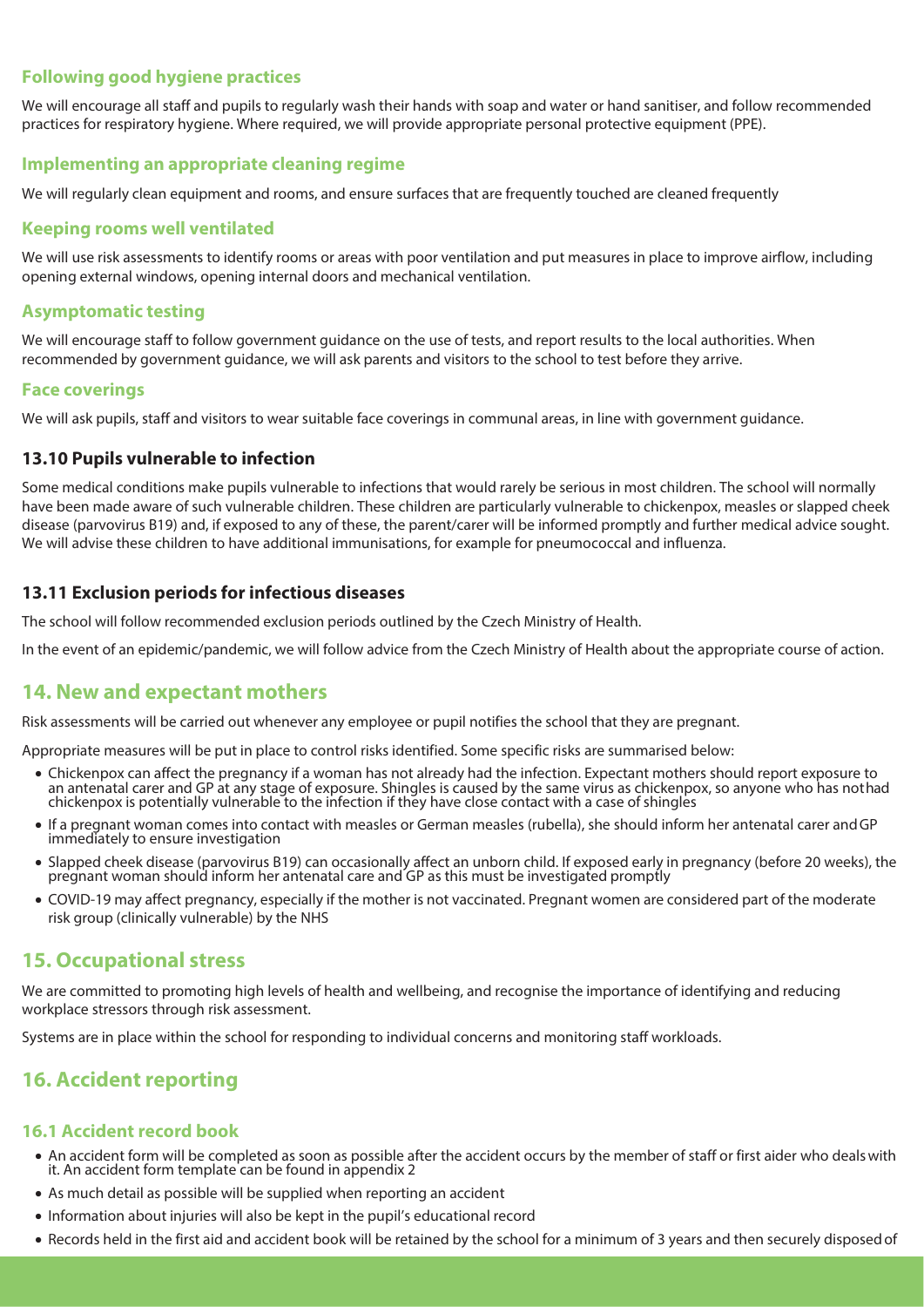### **Following good hygiene practices**

We will encourage all staff and pupils to regularly wash their hands with soap and water or hand sanitiser, and follow recommended practices for respiratory hygiene. Where required, we will provide appropriate personal protective equipment (PPE).

#### **Implementing an appropriate cleaning regime**

We will regularly clean equipment and rooms, and ensure surfaces that are frequently touched are cleaned frequently

#### **Keeping rooms well ventilated**

We will use risk assessments to identify rooms or areas with poor ventilation and put measures in place to improve airflow, including opening external windows, opening internal doors and mechanical ventilation.

### **Asymptomatic testing**

We will encourage staff to follow government guidance on the use of tests, and report results to the local authorities. When recommended by government guidance, we will ask parents and visitors to the school to test before they arrive.

#### **Face coverings**

We will ask pupils, staff and visitors to wear suitable face coverings in communal areas, in line with government guidance.

#### **13.10 Pupils vulnerable to infection**

Some medical conditions make pupils vulnerable to infections that would rarely be serious in most children. The school will normally have been made aware of such vulnerable children. These children are particularly vulnerable to chickenpox, measles or slapped cheek disease (parvovirus B19) and, if exposed to any of these, the parent/carer will be informed promptly and further medical advice sought. We will advise these children to have additional immunisations, for example for pneumococcal and influenza.

#### **13.11 Exclusion periods for infectious diseases**

The school will follow recommended exclusion periods outlined by the Czech Ministry of Health.

In the event of an epidemic/pandemic, we will follow advice from the Czech Ministry of Health about the appropriate course of action.

### **14. New and expectant mothers**

Risk assessments will be carried out whenever any employee or pupil notifies the school that they are pregnant.

Appropriate measures will be put in place to control risks identified. Some specific risks are summarised below:

- Chickenpox can affect the pregnancy if a woman has not already had the infection. Expectant mothers should report exposure to an antenatal carer and GP at any stage of exposure. Shingles is caused by the same virus as ch chickenpox is potentially vulnerable to the infection if they have close contact with a case ofshingles
- If a pregnant woman comes into contact with measles or German measles (rubella), she should inform her antenatal carer andGP immediately to ensure investigation
- Slapped cheek disease (parvovirus B19) can occasionally affect an unborn child. If exposed early in pregnancy (before 20 weeks), the pregnant woman should inform her antenatal care and GP as this must be investigated promptly
- COVID-19 may affect pregnancy, especially if the mother is not vaccinated. Pregnant women are considered part of the moderate risk group (clinically vulnerable) by the NHS

### **15. Occupational stress**

We are committed to promoting high levels of health and wellbeing, and recognise the importance of identifying and reducing workplace stressors through risk assessment.

Systems are in place within the school for responding to individual concerns and monitoring staff workloads.

# **16. Accident reporting**

#### **16.1 Accident record book**

- An accident form will be completed as soon as possible after the accident occurs by the member of staff or first aider who dealswith it. An accident form template can be found in appendix 2
- As much detail as possible will be supplied when reporting an accident
- Information about injuries will also be kept in the pupil's educational record
- Records held in the first aid and accident book will be retained by the school for a minimum of 3 years and then securely disposedof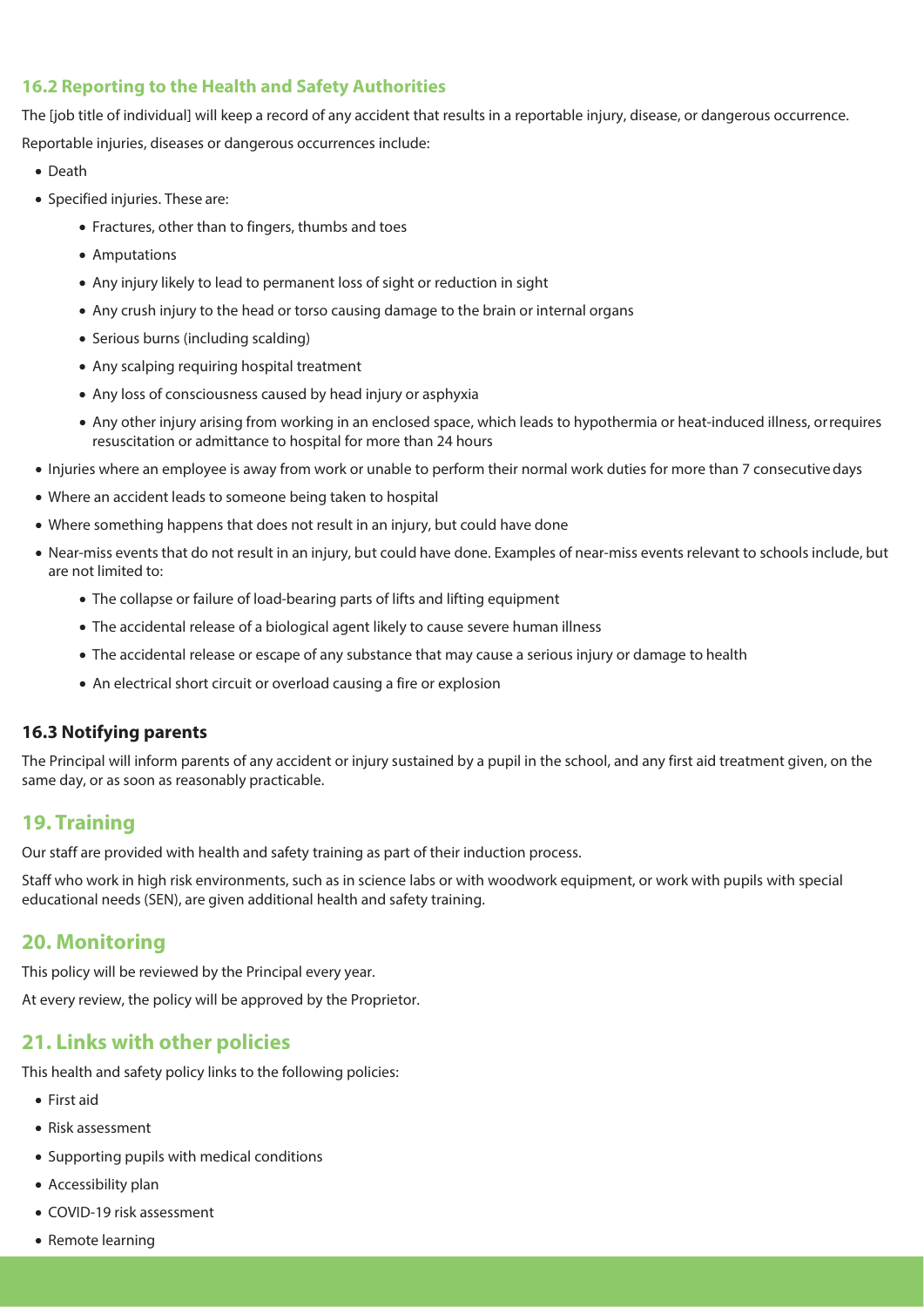### **16.2 Reporting to the Health and Safety Authorities**

The [job title of individual] will keep a record of any accident that results in a reportable injury, disease, or dangerous occurrence. Reportable injuries, diseases or dangerous occurrences include:

- Death
- Specified injuries. These are:
	- Fractures, other than to fingers, thumbs and toes
	- Amputations
	- Any injury likely to lead to permanent loss of sight or reduction in sight
	- Any crush injury to the head or torso causing damage to the brain or internal organs
	- Serious burns (including scalding)
	- Any scalping requiring hospital treatment
	- Any loss of consciousness caused by head injury or asphyxia
	- Any other injury arising from working in an enclosed space, which leads to hypothermia or heat-induced illness, orrequires resuscitation or admittance to hospital for more than 24 hours
- Injuries where an employee is away from work or unable to perform their normal work duties for more than 7 consecutivedays
- Where an accident leads to someone being taken to hospital
- Where something happens that does not result in an injury, but could have done
- Near-miss events that do not result in an injury, but could have done. Examples of near-miss events relevant to schools include, but are not limited to:
	- The collapse or failure of load-bearing parts of lifts and lifting equipment
	- The accidental release of a biological agent likely to cause severe human illness
	- The accidental release or escape of any substance that may cause a serious injury or damage to health
	- An electrical short circuit or overload causing a fire or explosion

#### **16.3 Notifying parents**

The Principal will inform parents of any accident or injury sustained by a pupil in the school, and any first aid treatment given, on the same day, or as soon as reasonably practicable.

# **19. Training**

Our staff are provided with health and safety training as part of their induction process.

Staff who work in high risk environments, such as in science labs or with woodwork equipment, or work with pupils with special educational needs (SEN), are given additional health and safety training.

### **20. Monitoring**

This policy will be reviewed by the Principal every year.

At every review, the policy will be approved by the Proprietor.

# **21. Links with other policies**

This health and safety policy links to the following policies:

- First aid
- Risk assessment
- Supporting pupils with medical conditions
- Accessibility plan
- COVID-19 risk assessment
- Remote learning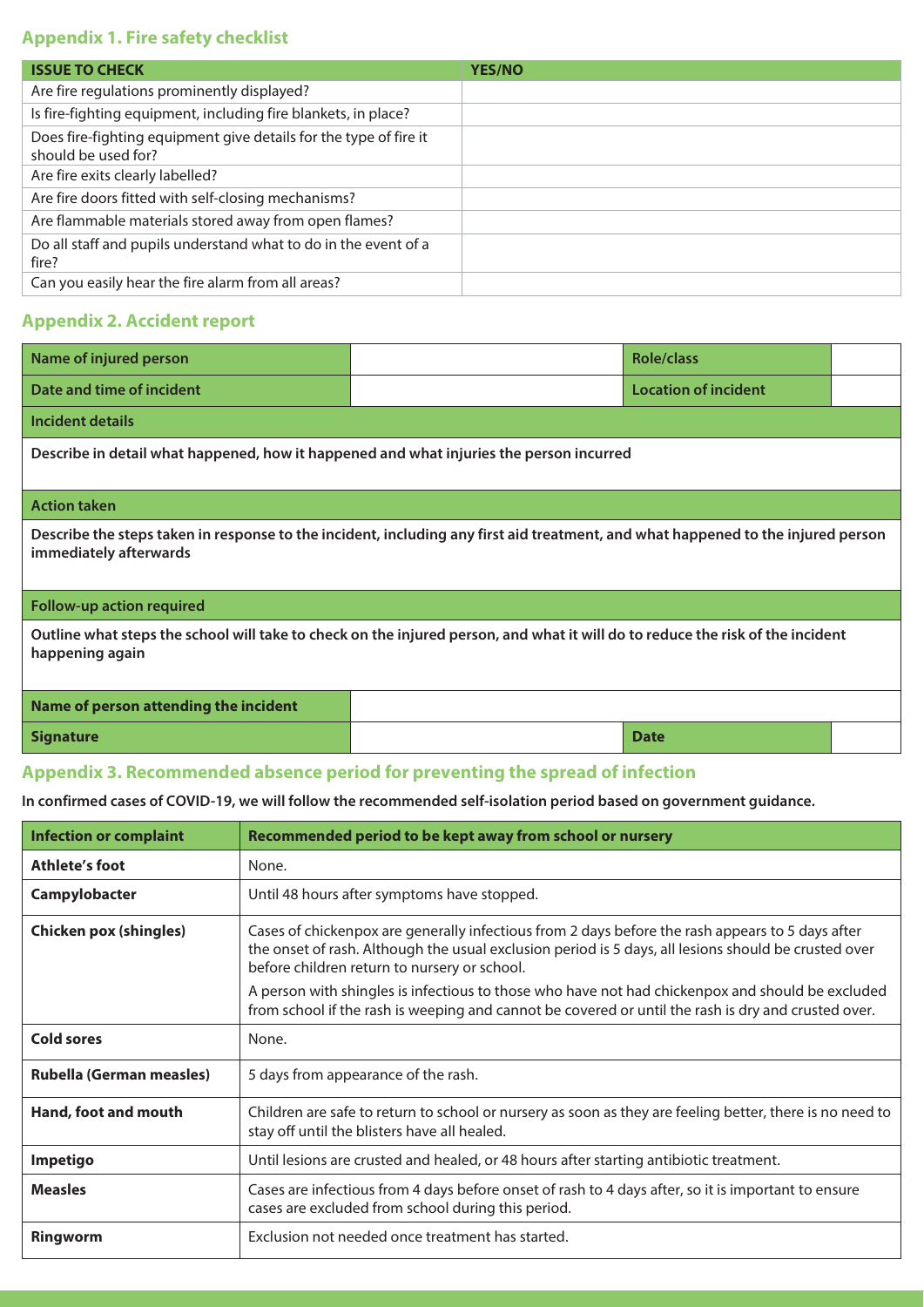### **Appendix 1. Fire safety checklist**

| <b>ISSUE TO CHECK</b>                                                                    | <b>YES/NO</b> |
|------------------------------------------------------------------------------------------|---------------|
| Are fire regulations prominently displayed?                                              |               |
| Is fire-fighting equipment, including fire blankets, in place?                           |               |
| Does fire-fighting equipment give details for the type of fire it<br>should be used for? |               |
| Are fire exits clearly labelled?                                                         |               |
| Are fire doors fitted with self-closing mechanisms?                                      |               |
| Are flammable materials stored away from open flames?                                    |               |
| Do all staff and pupils understand what to do in the event of a<br>fire?                 |               |
| Can you easily hear the fire alarm from all areas?                                       |               |

### **Appendix 2. Accident report**

| Name of injured person                                                                                                                                     |  | <b>Role/class</b>           |  |  |
|------------------------------------------------------------------------------------------------------------------------------------------------------------|--|-----------------------------|--|--|
| Date and time of incident                                                                                                                                  |  | <b>Location of incident</b> |  |  |
| Incident details                                                                                                                                           |  |                             |  |  |
| Describe in detail what happened, how it happened and what injuries the person incurred                                                                    |  |                             |  |  |
| <b>Action taken</b>                                                                                                                                        |  |                             |  |  |
| Describe the steps taken in response to the incident, including any first aid treatment, and what happened to the injured person<br>immediately afterwards |  |                             |  |  |
| <b>Follow-up action required</b>                                                                                                                           |  |                             |  |  |
| Outline what steps the school will take to check on the injured person, and what it will do to reduce the risk of the incident<br>happening again          |  |                             |  |  |
| Name of person attending the incident                                                                                                                      |  |                             |  |  |
| <b>Signature</b>                                                                                                                                           |  | <b>Date</b>                 |  |  |

### **Appendix 3. Recommended absence period for preventing the spread of infection**

**In confirmed cases of COVID-19, we will follow the recommended self-isolation period based on government guidance.**

| <b>Infection or complaint</b>   | Recommended period to be kept away from school or nursery                                                                                                                                                                                                |
|---------------------------------|----------------------------------------------------------------------------------------------------------------------------------------------------------------------------------------------------------------------------------------------------------|
| Athlete's foot                  | None.                                                                                                                                                                                                                                                    |
| Campylobacter                   | Until 48 hours after symptoms have stopped.                                                                                                                                                                                                              |
| <b>Chicken pox (shingles)</b>   | Cases of chickenpox are generally infectious from 2 days before the rash appears to 5 days after<br>the onset of rash. Although the usual exclusion period is 5 days, all lesions should be crusted over<br>before children return to nursery or school. |
|                                 | A person with shingles is infectious to those who have not had chickenpox and should be excluded<br>from school if the rash is weeping and cannot be covered or until the rash is dry and crusted over.                                                  |
| <b>Cold sores</b>               | None.                                                                                                                                                                                                                                                    |
| <b>Rubella (German measles)</b> | 5 days from appearance of the rash.                                                                                                                                                                                                                      |
| Hand, foot and mouth            | Children are safe to return to school or nursery as soon as they are feeling better, there is no need to<br>stay off until the blisters have all healed.                                                                                                 |
| Impetigo                        | Until lesions are crusted and healed, or 48 hours after starting antibiotic treatment.                                                                                                                                                                   |
| <b>Measles</b>                  | Cases are infectious from 4 days before onset of rash to 4 days after, so it is important to ensure<br>cases are excluded from school during this period.                                                                                                |
| Ringworm                        | Exclusion not needed once treatment has started.                                                                                                                                                                                                         |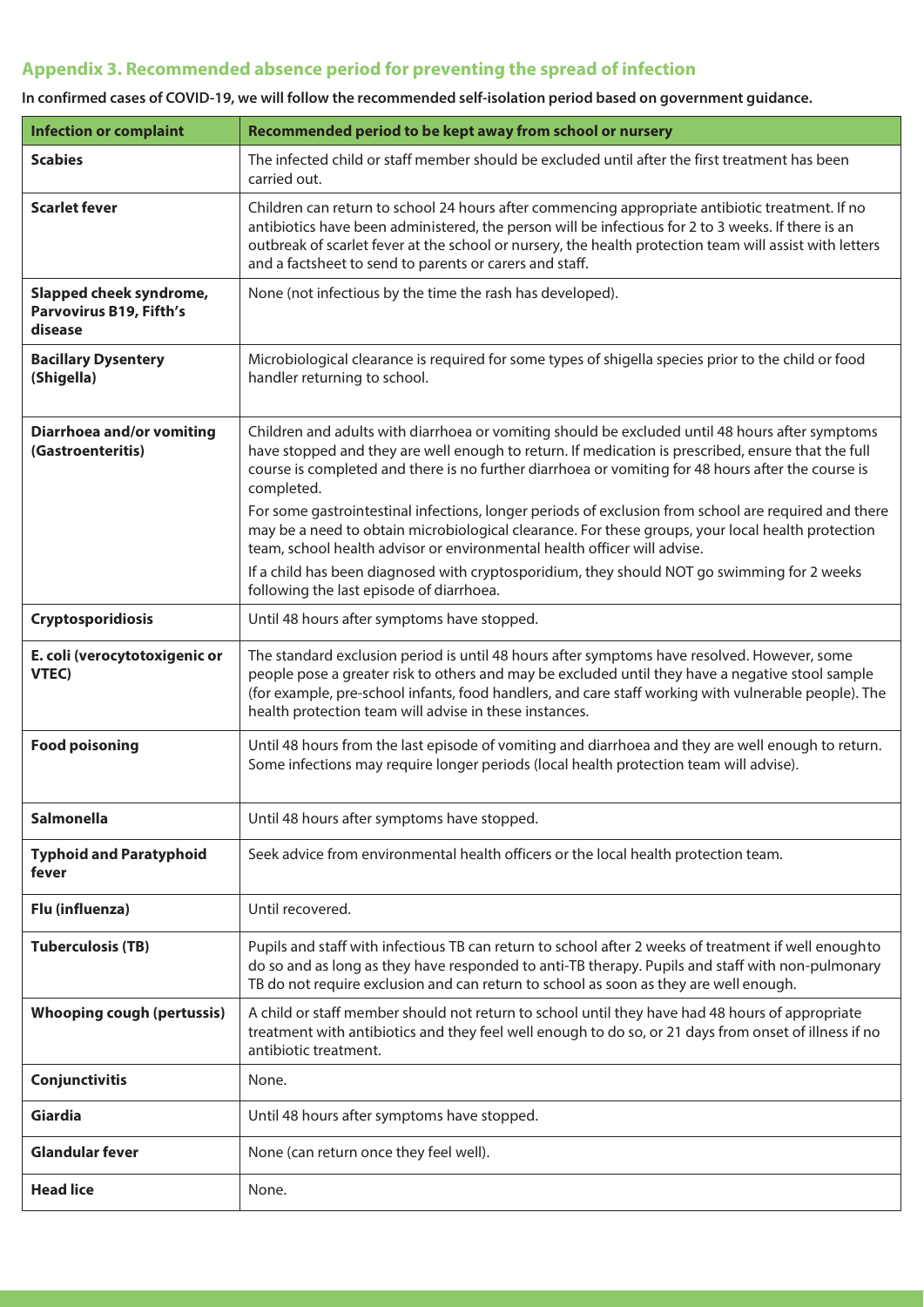# **Appendix 3. Recommended absence period for preventing the spread of infection**

In confirmed cases of COVID-19, we will follow the recommended self-isolation period based on government guidance.

| <b>Infection or complaint</b>                                 | Recommended period to be kept away from school or nursery                                                                                                                                                                                                                                                                                                                                                                                                                                                                              |
|---------------------------------------------------------------|----------------------------------------------------------------------------------------------------------------------------------------------------------------------------------------------------------------------------------------------------------------------------------------------------------------------------------------------------------------------------------------------------------------------------------------------------------------------------------------------------------------------------------------|
| <b>Scabies</b>                                                | The infected child or staff member should be excluded until after the first treatment has been<br>carried out.                                                                                                                                                                                                                                                                                                                                                                                                                         |
| <b>Scarlet fever</b>                                          | Children can return to school 24 hours after commencing appropriate antibiotic treatment. If no<br>antibiotics have been administered, the person will be infectious for 2 to 3 weeks. If there is an<br>outbreak of scarlet fever at the school or nursery, the health protection team will assist with letters<br>and a factsheet to send to parents or carers and staff.                                                                                                                                                            |
| Slapped cheek syndrome,<br>Parvovirus B19, Fifth's<br>disease | None (not infectious by the time the rash has developed).                                                                                                                                                                                                                                                                                                                                                                                                                                                                              |
| <b>Bacillary Dysentery</b><br>(Shigella)                      | Microbiological clearance is required for some types of shigella species prior to the child or food<br>handler returning to school.                                                                                                                                                                                                                                                                                                                                                                                                    |
| <b>Diarrhoea and/or vomiting</b><br>(Gastroenteritis)         | Children and adults with diarrhoea or vomiting should be excluded until 48 hours after symptoms<br>have stopped and they are well enough to return. If medication is prescribed, ensure that the full<br>course is completed and there is no further diarrhoea or vomiting for 48 hours after the course is<br>completed.<br>For some gastrointestinal infections, longer periods of exclusion from school are required and there<br>may be a need to obtain microbiological clearance. For these groups, your local health protection |
|                                                               | team, school health advisor or environmental health officer will advise.<br>If a child has been diagnosed with cryptosporidium, they should NOT go swimming for 2 weeks<br>following the last episode of diarrhoea.                                                                                                                                                                                                                                                                                                                    |
| Cryptosporidiosis                                             | Until 48 hours after symptoms have stopped.                                                                                                                                                                                                                                                                                                                                                                                                                                                                                            |
| E. coli (verocytotoxigenic or<br>VTEC)                        | The standard exclusion period is until 48 hours after symptoms have resolved. However, some<br>people pose a greater risk to others and may be excluded until they have a negative stool sample<br>(for example, pre-school infants, food handlers, and care staff working with vulnerable people). The<br>health protection team will advise in these instances.                                                                                                                                                                      |
| <b>Food poisoning</b>                                         | Until 48 hours from the last episode of vomiting and diarrhoea and they are well enough to return.<br>Some infections may require longer periods (local health protection team will advise).                                                                                                                                                                                                                                                                                                                                           |
| <b>Salmonella</b>                                             | Until 48 hours after symptoms have stopped.                                                                                                                                                                                                                                                                                                                                                                                                                                                                                            |
| <b>Typhoid and Paratyphoid</b><br>fever                       | Seek advice from environmental health officers or the local health protection team.                                                                                                                                                                                                                                                                                                                                                                                                                                                    |
| Flu (influenza)                                               | Until recovered.                                                                                                                                                                                                                                                                                                                                                                                                                                                                                                                       |
| <b>Tuberculosis (TB)</b>                                      | Pupils and staff with infectious TB can return to school after 2 weeks of treatment if well enoughto<br>do so and as long as they have responded to anti-TB therapy. Pupils and staff with non-pulmonary<br>TB do not require exclusion and can return to school as soon as they are well enough.                                                                                                                                                                                                                                      |
| <b>Whooping cough (pertussis)</b>                             | A child or staff member should not return to school until they have had 48 hours of appropriate<br>treatment with antibiotics and they feel well enough to do so, or 21 days from onset of illness if no<br>antibiotic treatment.                                                                                                                                                                                                                                                                                                      |
| Conjunctivitis                                                | None.                                                                                                                                                                                                                                                                                                                                                                                                                                                                                                                                  |
| Giardia                                                       | Until 48 hours after symptoms have stopped.                                                                                                                                                                                                                                                                                                                                                                                                                                                                                            |
| <b>Glandular fever</b>                                        | None (can return once they feel well).                                                                                                                                                                                                                                                                                                                                                                                                                                                                                                 |
| <b>Head lice</b>                                              | None.                                                                                                                                                                                                                                                                                                                                                                                                                                                                                                                                  |